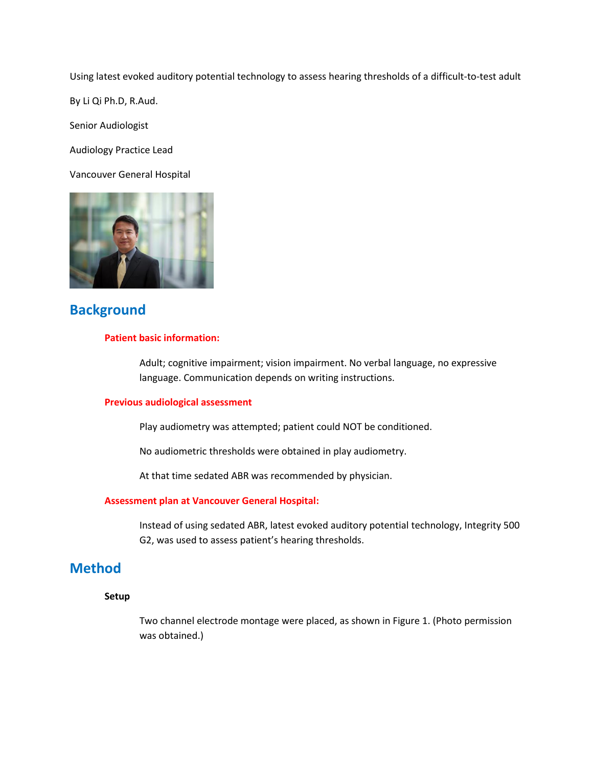Using latest evoked auditory potential technology to assess hearing thresholds of a difficult-to-test adult

By Li Qi Ph.D, R.Aud.

Senior Audiologist

Audiology Practice Lead

Vancouver General Hospital



## **Background**

### **Patient basic information:**

Adult; cognitive impairment; vision impairment. No verbal language, no expressive language. Communication depends on writing instructions.

#### **Previous audiological assessment**

Play audiometry was attempted; patient could NOT be conditioned.

No audiometric thresholds were obtained in play audiometry.

At that time sedated ABR was recommended by physician.

#### **Assessment plan at Vancouver General Hospital:**

Instead of using sedated ABR, latest evoked auditory potential technology, Integrity 500 G2, was used to assess patient's hearing thresholds.

## **Method**

### **Setup**

Two channel electrode montage were placed, as shown in Figure 1. (Photo permission was obtained.)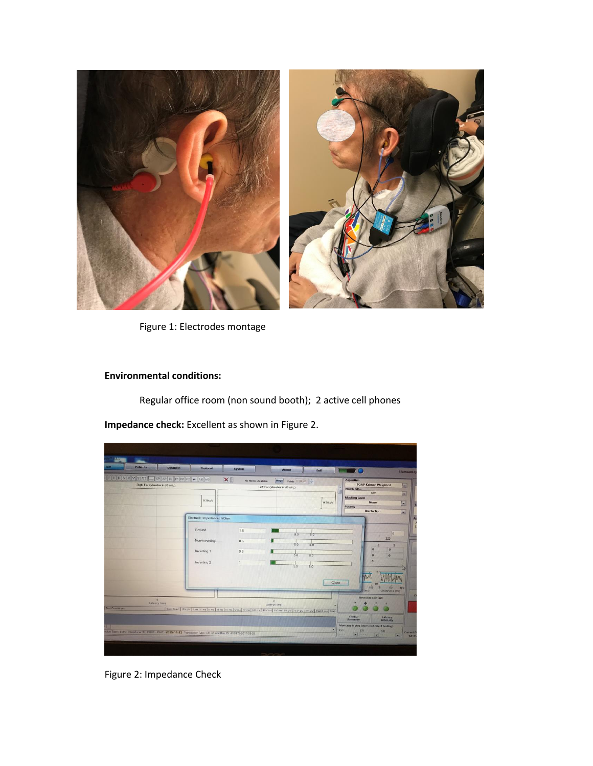

Figure 1: Electrodes montage

### **Environmental conditions:**

Regular office room (non sound booth); 2 active cell phones

**Impedance check:** Excellent as shown in Figure 2.

| <b>Patients</b>                                                                                               | <b>Database</b> | Protocol                   | System                                                                                                                                                | <b>About</b>              |            | Exit                       | ņс                                                                                                                                   | <b>Bluetooth</b> Q                                        |  |
|---------------------------------------------------------------------------------------------------------------|-----------------|----------------------------|-------------------------------------------------------------------------------------------------------------------------------------------------------|---------------------------|------------|----------------------------|--------------------------------------------------------------------------------------------------------------------------------------|-----------------------------------------------------------|--|
| I I I V V V SS/SE - SP AP EL PI NI P2 - AB AB<br>Right Ear (stimulus in dB nHL)                               |                 |                            | ×<br>Marge]<br>No Norms Available<br>YAxis 0.30 j/  <br>Left Ear (stimulus in dB nHL)                                                                 |                           |            |                            | <b>Algorithm</b><br><b>SOAP-Kalman Weighted</b><br><b>Notch Filter</b><br>Off                                                        |                                                           |  |
|                                                                                                               |                 | $0.30 \mu V$               |                                                                                                                                                       |                           |            | $0.30 \text{ }\mu\text{V}$ | <b>Masking Level</b><br><b>Polarity</b>                                                                                              | <b>None</b><br>Rarefaction                                |  |
|                                                                                                               |                 | Electrode Impedances, kOhm |                                                                                                                                                       |                           |            | . .                        |                                                                                                                                      |                                                           |  |
|                                                                                                               |                 | Ground                     | 15                                                                                                                                                    |                           | 5.0<br>8.0 |                            |                                                                                                                                      | o                                                         |  |
|                                                                                                               |                 | Non-inverting              | 0.5                                                                                                                                                   |                           | 50<br>8.0  |                            |                                                                                                                                      | 125<br>$\overline{2}$<br>1                                |  |
|                                                                                                               |                 | Inverting 1                | 0.5                                                                                                                                                   |                           | 50<br>80   |                            |                                                                                                                                      | $\mathbf{0}$<br>$\mathbf{o}$<br>$\alpha$<br>$\mathbf{o}$  |  |
|                                                                                                               |                 | Inverting 2                |                                                                                                                                                       |                           | 50<br>8.0  |                            |                                                                                                                                      | $\boldsymbol{\alpha}$                                     |  |
|                                                                                                               |                 |                            |                                                                                                                                                       |                           |            |                            |                                                                                                                                      |                                                           |  |
|                                                                                                               |                 |                            |                                                                                                                                                       |                           |            | Close                      |                                                                                                                                      | 100                                                       |  |
| <b>D</b>                                                                                                      |                 |                            |                                                                                                                                                       |                           |            |                            |                                                                                                                                      | <b>Test</b><br>Channel 1 (ms)<br><b>Electrode Contact</b> |  |
| Latency (ms)<br>Test Consitions                                                                               |                 |                            | Com Coet   RN UV   Lime   F. ms   Il ms   Ill ms   IV ms   V ms   V ms   I-Ill ms   III-V ms   I-V ms   I-F UV   V-V HV   V-I UV   Stat-S ms   Stat-F | $\alpha$<br>Listency (ms) |            |                            |                                                                                                                                      |                                                           |  |
|                                                                                                               |                 |                            |                                                                                                                                                       |                           |            |                            | Clinical<br>Summary                                                                                                                  | Latency<br>Intensity                                      |  |
| dux Type: 1 kHz Transducer ID: 49406 - 49411-2015-11-13 Transducer Type: ER-3A Amplifer ID: AV0176-2017-03-28 |                 |                            |                                                                                                                                                       |                           |            | ٠                          | Montage Notes (does not affect testing):<br>$(-)$<br>(7)<br>(1)<br><b>Sellie was</b><br>$\bullet$ lines.<br>$\overline{\phantom{a}}$ |                                                           |  |

Figure 2: Impedance Check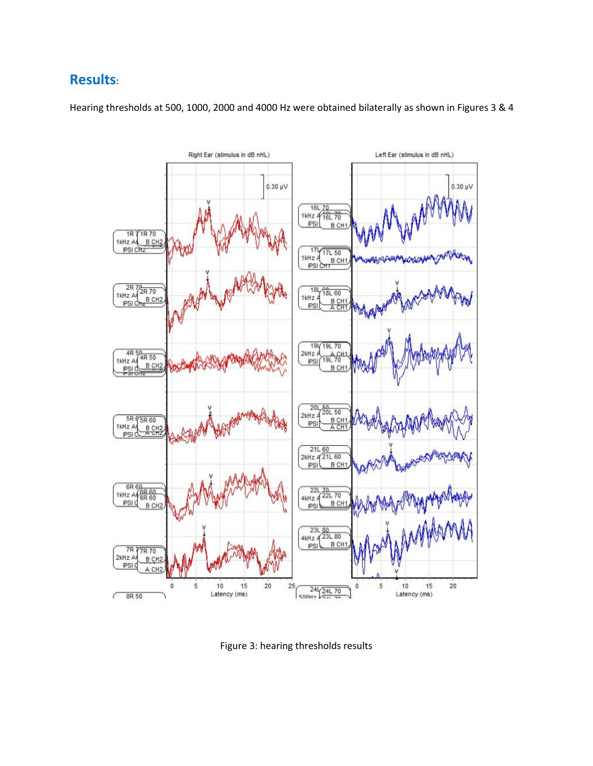# **Results**:



Hearing thresholds at 500, 1000, 2000 and 4000 Hz were obtained bilaterally as shown in Figures 3 & 4

Figure 3: hearing thresholds results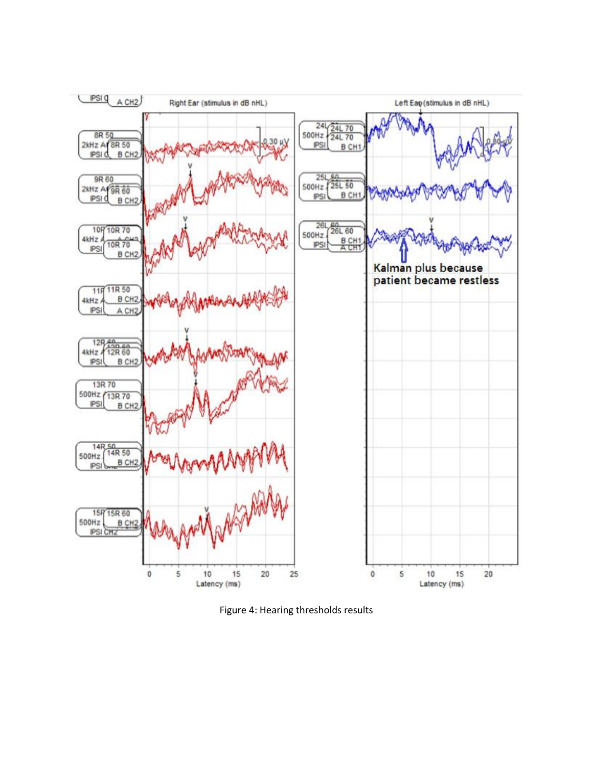

Figure 4: Hearing thresholds results